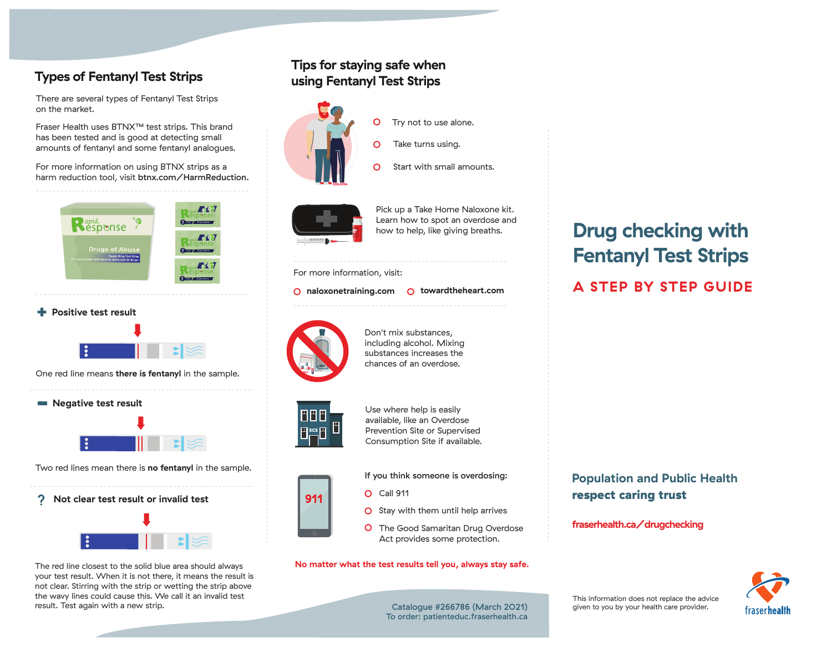## **Types of Fentanyl Test Strips**

There are several types of Fentanyl Test Strips on the market.

Fraser Health uses BTNX™ test strips. This brand has been tested and is good at detecting small amounts of fentanyl and some fentanyl analogues.

For more information on using BTNX strips as a harm reduction tool, visit btnx.com/HarmReduction.





One red line means **there is fentanyl** in the sample.



Two red lines mean there is **no fentanyl** in the sample.

2. **Not clear test result or invalid test**



The red line closest to the solid blue area should always your test result. When it is not there, it means the result is not clear. Stirring with the strip or wetting the strip above the wavy lines could cause this. We call it an invalid test result. Test again with a new strip. Catalogue #266786 (March 2021)

## **Tips for staying safe when using Fentanyl Test Strips**

 $\circ$ 

 $\Omega$ 



O Take turns using.

Try not to use alone.



Pick up a Take Home Naloxone kit. Learn how to spot an overdose and how to help, like giving breaths.

Start with small amounts.

#### For more information, visit:

#### **naloxonetraining.com towardtheheart.com**



Don't mix substances, including alcohol. Mixing substances increases the chances of an overdose.



Use where help is easily available, like an Overdose Prevention Site or Supervised Consumption Site if available.

If you think someone is overdosing:

- **911** C Call 911
	- $\bigcirc$  Stay with them until help arrives
	- **O** The Good Samaritan Drug Overdose Act provides some protection.

#### **No matter what the test results tell you, always stay safe.**

# **Drug checking with Fentanyl Test Strips**

## **A STEP BY STEP GUIDE**

### **Population and Public Health** respect caring trust

#### **fraserhealth.ca/drugchecking**



To order: patienteduc.fraserhealth.ca

This information does not replace the advice given to you by your health care provider.